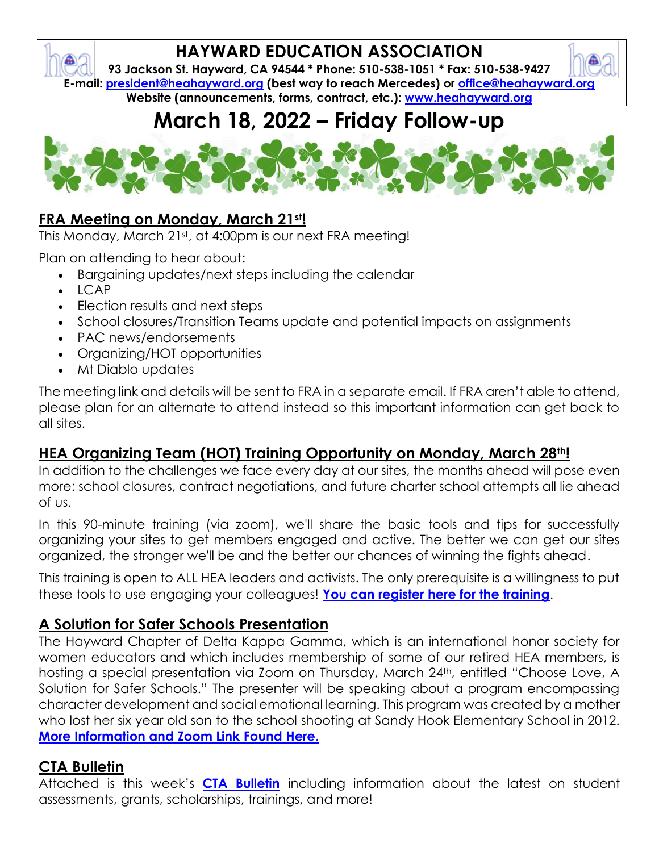## **HAYWARD EDUCATION ASSOCIATION**

**93 Jackson St. Hayward, CA 94544 \* Phone: 510-538-1051 \* Fax: 510-538-9427 E-mail: [president@heahayward.org](mailto:president@heahayward.org) (best way to reach Mercedes) or [office@heahayward.org](mailto:office@heahayward.org) Website (announcements, forms, contract, etc.): [www.heahayward.org](http://www.heahayward.org/)**

# **March 18, 2022 – Friday Follow-up**



### **FRA Meeting on Monday, March 21st!**

This Monday, March 21st, at 4:00pm is our next FRA meeting!

Plan on attending to hear about:

- Bargaining updates/next steps including the calendar
- LCAP
- Election results and next steps
- School closures/Transition Teams update and potential impacts on assignments
- PAC news/endorsements
- Organizing/HOT opportunities
- Mt Diablo updates

The meeting link and details will be sent to FRA in a separate email. If FRA aren't able to attend, please plan for an alternate to attend instead so this important information can get back to all sites.

#### **HEA Organizing Team (HOT) Training Opportunity on Monday, March 28th!**

In addition to the challenges we face every day at our sites, the months ahead will pose even more: school closures, contract negotiations, and future charter school attempts all lie ahead of us.

In this 90-minute training (via zoom), we'll share the basic tools and tips for successfully organizing your sites to get members engaged and active. The better we can get our sites organized, the stronger we'll be and the better our chances of winning the fights ahead.

This training is open to ALL HEA leaders and activists. The only prerequisite is a willingness to put these tools to use engaging your colleagues! **[You can register here for the training](https://us02web.zoom.us/meeting/register/tZUuf-Gvrj8sGNf4JIcdVj0Ot-UD54shfsY7)**.

#### **A Solution for Safer Schools Presentation**

The Hayward Chapter of Delta Kappa Gamma, which is an international honor society for women educators and which includes membership of some of our retired HEA members, is hosting a special presentation via Zoom on Thursday, March 24<sup>th</sup>, entitled "Choose Love, A Solution for Safer Schools." The presenter will be speaking about a program encompassing character development and social emotional learning. This program was created by a mother who lost her six year old son to the school shooting at Sandy Hook Elementary School in 2012. **[More Information and Zoom Link Found Here.](https://drive.google.com/file/d/17VgAcrD2k1Kt6RYv44TPtL_J7dzOgaHe/view?usp=sharing)**

#### **CTA Bulletin**

Attached is this week's **[CTA Bulletin](https://drive.google.com/file/d/1-vd-ELuGJmfdUxGqiZagqHXNsFLni2Rb/view?usp=sharing)** including information about the latest on student assessments, grants, scholarships, trainings, and more!